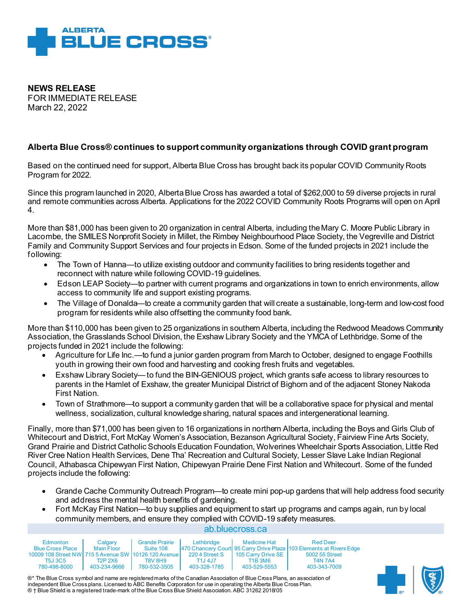

**NEWS RELEASE**  FOR IMMEDIATE RELEASE March 22, 2022

## **Alberta Blue Cross® continues to support community organizations through COVID grant program**

Based on the continued need for support, Alberta Blue Cross has brought back its popular COVID Community Roots Program for 2022.

Since this program launched in 2020, Alberta Blue Cross has awarded a total of \$262,000 to 59 diverse projects in rural and remote communities across Alberta. Applications for the 2022 COVID Community Roots Programs will open on April 4.

More than \$81,000 has been given to 20 organization in central Alberta, including the Mary C. Moore Public Library in Lacombe, the SMILES Nonprofit Society in Millet, the Rimbey Neighbourhood Place Society, the Vegreville and District Family and Community Support Services and four projects in Edson. Some of the funded projects in 2021 include the following:

- The Town of Hanna—to utilize existing outdoor and community facilities to bring residents together and reconnect with nature while following COVID-19 guidelines.
- Edson LEAP Society—to partner with current programs and organizations in town to enrich environments, allow access to community life and support existing programs.
- The Village of Donalda—to create a community garden that will create a sustainable, long-term and low-cost food program for residents while also offsetting the community food bank.

More than \$110,000 has been given to 25 organizations in southern Alberta, including the Redwood Meadows Community Association, the Grasslands School Division, the Exshaw Library Society and the YMCA of Lethbridge. Some of the projects funded in 2021 include the following:

- Agriculture for Life Inc.—to fund a junior garden program from March to October, designed to engage Foothills youth in growing their own food and harvesting and cooking fresh fruits and vegetables.
- Exshaw Library Society—to fund the BIN-GENIOUS project, which grants safe access to library resources to parents in the Hamlet of Exshaw, the greater Municipal District of Bighorn and of the adjacent Stoney Nakoda First Nation.
- Town of Strathmore—to support a community garden that will be a collaborative space for physical and mental wellness, socialization, cultural knowledge sharing, natural spaces and intergenerational learning.

Finally, more than \$71,000 has been given to 16 organizations in northern Alberta, including the Boys and Girls Club of Whitecourt and District, Fort McKay Women's Association, Bezanson Agricultural Society, Fairview Fine Arts Society, Grand Prairie and District Catholic Schools Education Foundation, Wolverines Wheelchair Sports Association, Little Red River Cree Nation Health Services, Dene Tha' Recreation and Cultural Society, Lesser Slave Lake Indian Regional Council, Athabasca Chipewyan First Nation, Chipewyan Prairie Dene First Nation and Whitecourt. Some of the funded projects include the following:

- Grande Cache Community Outreach Program—to create mini pop-up gardens that will help address food security and address the mental health benefits of gardening.
- ab.bluecross.ca • Fort McKay First Nation—to buy supplies and equipment to start up programs and camps again, run by local community members, and ensure they complied with COVID-19 safety measures.

| Edmonton                                             | Calgary                          | <b>Grande Prairie</b> | Lethbridge     | <b>Medicine Hat</b>   | <b>Red Deer</b>                                                         |
|------------------------------------------------------|----------------------------------|-----------------------|----------------|-----------------------|-------------------------------------------------------------------------|
| <b>Blue Cross Place</b>                              | Main Floor                       | Suite 108             |                |                       | [470 Chancery Court] 95 Carry Drive Plaza [103 Elements at Rivers Edge] |
| 10009 108 Street NW 715 5 Avenue SW 10126 120 Avenue |                                  |                       | 220 4 Street S | 1105 Carry Drive SE 1 | 5002 55 Street                                                          |
| T5J 3C5                                              | T <sub>2</sub> P 2X <sub>6</sub> | <b>T8V 8H9</b>        | T1J 4J7        | <b>T1B3M6</b>         | <b>T4N 7A4</b>                                                          |
| 780-498-8000                                         | 403-234-9666                     | 780-532-3505          | 403-328-1785   | 403-529-5553          | 403-343-7009                                                            |

®\* The Blue Cross symbol and name are registered marks of the Canadian Association of Blue Cross Plans, an association of independent Blue Cross plans. Licensed to ABC Benefits Corporation for use in operating the Alberta Blue Cross Plan. ® † Blue Shield is a registered trade-mark of the Blue Cross Blue Shield Association. ABC 31262 2018/05